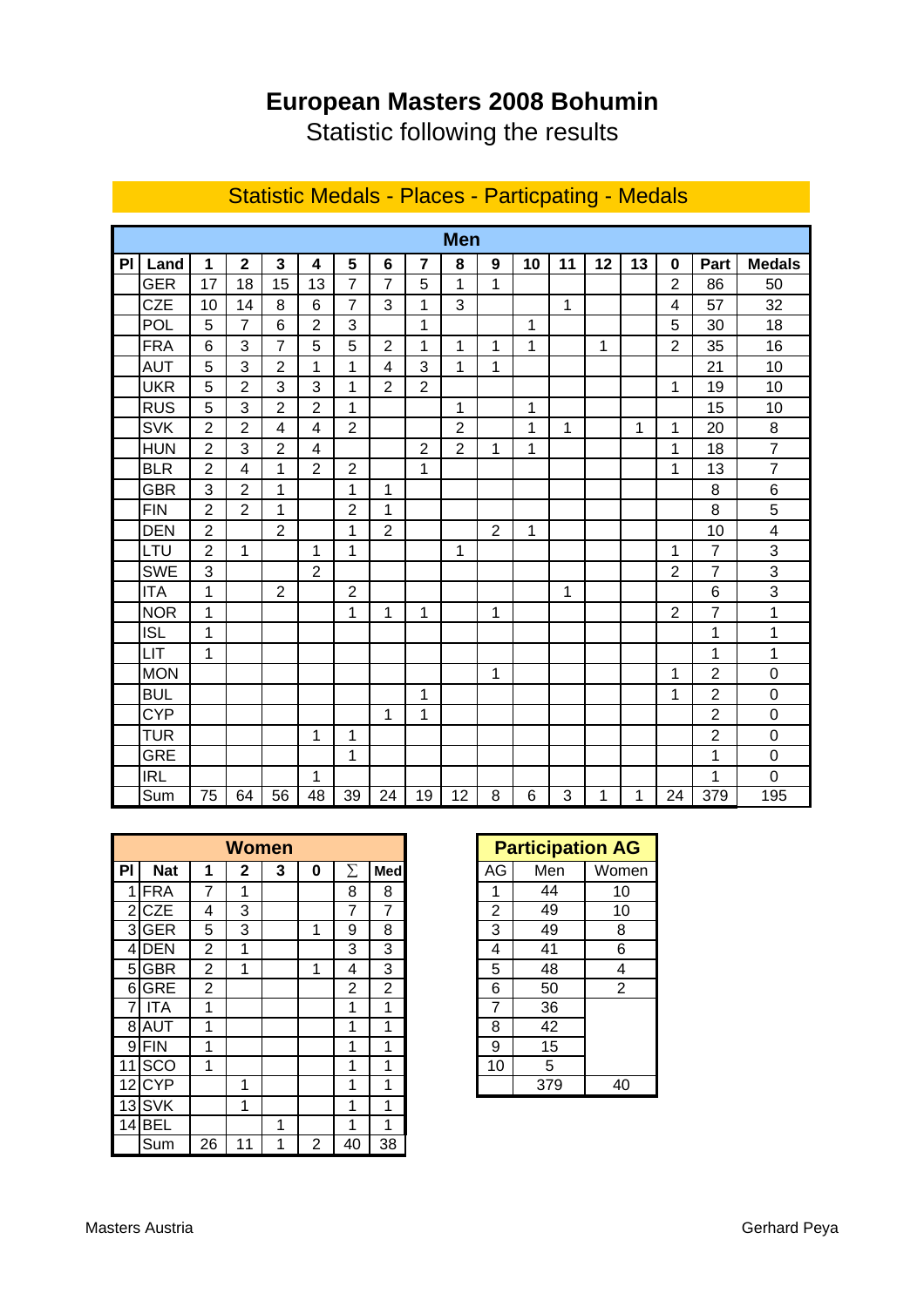## **European Masters 2008 Bohumin**

Statistic following the results

|           | <b>Men</b> |                |                         |                 |                  |                 |                 |                 |                 |                |                |    |    |    |                 |                  |                         |
|-----------|------------|----------------|-------------------------|-----------------|------------------|-----------------|-----------------|-----------------|-----------------|----------------|----------------|----|----|----|-----------------|------------------|-------------------------|
| <b>PI</b> | Land       | 1              | $\overline{\mathbf{2}}$ | 3               | $\boldsymbol{4}$ | 5               | 6               | $\overline{7}$  | 8               | 9              | 10             | 11 | 12 | 13 | 0               | Part             | <b>Medals</b>           |
|           | <b>GER</b> | 17             | 18                      | 15              | 13               | $\overline{7}$  | $\overline{7}$  | 5               | 1               | 1              |                |    |    |    | $\overline{2}$  | 86               | 50                      |
|           | <b>CZE</b> | 10             | 14                      | 8               | 6                | 7               | 3               | 1               | 3               |                |                | 1  |    |    | 4               | 57               | 32                      |
|           | <b>POL</b> | 5              | $\overline{7}$          | 6               | $\overline{2}$   | 3               |                 | 1               |                 |                | 1              |    |    |    | 5               | 30               | 18                      |
|           | <b>FRA</b> | 6              | 3                       | $\overline{7}$  | 5                | 5               | $\overline{2}$  | 1               | 1               | $\mathbf{1}$   | $\mathbf{1}$   |    | 1  |    | $\overline{2}$  | 35               | 16                      |
|           | <b>AUT</b> | 5              | 3                       | $\overline{2}$  | 1                | 1               | 4               | 3               | 1               | 1              |                |    |    |    |                 | 21               | 10                      |
|           | <b>UKR</b> | 5              | $\overline{2}$          | 3               | 3                | 1               | $\overline{2}$  | $\overline{2}$  |                 |                |                |    |    |    | 1               | 19               | 10                      |
|           | <b>RUS</b> | 5              | 3                       | $\overline{2}$  | $\overline{2}$   | 1               |                 |                 | 1               |                | 1              |    |    |    |                 | 15               | 10                      |
|           | <b>SVK</b> | $\overline{2}$ | $\overline{2}$          | 4               | $\overline{4}$   | $\overline{2}$  |                 |                 | $\overline{2}$  |                | 1              | 1  |    | 1  | 1               | 20               | 8                       |
|           | <b>HUN</b> | $\overline{2}$ | 3                       | $\overline{2}$  | 4                |                 |                 | $\overline{2}$  | $\overline{2}$  | 1              | 1              |    |    |    | 1               | 18               | $\overline{7}$          |
|           | <b>BLR</b> | $\overline{2}$ | 4                       | 1               | $\overline{2}$   | $\overline{2}$  |                 | 1               |                 |                |                |    |    |    | 1               | 13               | $\overline{7}$          |
|           | <b>GBR</b> | 3              | $\overline{2}$          | 1               |                  | 1               | 1               |                 |                 |                |                |    |    |    |                 | 8                | 6                       |
|           | <b>FIN</b> | $\overline{2}$ | $\overline{2}$          | 1               |                  | $\overline{2}$  | 1               |                 |                 |                |                |    |    |    |                 | 8                | 5                       |
|           | <b>DEN</b> | $\overline{2}$ |                         | $\overline{2}$  |                  | 1               | $\overline{2}$  |                 |                 | $\overline{2}$ | $\mathbf{1}$   |    |    |    |                 | 10               | $\overline{\mathbf{4}}$ |
|           | LTU        | $\overline{2}$ | 1                       |                 | 1                | 1               |                 |                 | 1               |                |                |    |    |    | 1               | $\overline{7}$   | 3                       |
|           | <b>SWE</b> | 3              |                         |                 | $\overline{2}$   |                 |                 |                 |                 |                |                |    |    |    | $\overline{2}$  | 7                | 3                       |
|           | <b>ITA</b> | 1              |                         | $\overline{2}$  |                  | $\overline{2}$  |                 |                 |                 |                |                | 1  |    |    |                 | 6                | 3                       |
|           | <b>NOR</b> | 1              |                         |                 |                  | 1               | 1               | 1               |                 | 1              |                |    |    |    | $\overline{2}$  | 7                | 1                       |
|           | <b>ISL</b> | 1              |                         |                 |                  |                 |                 |                 |                 |                |                |    |    |    |                 | 1                | 1                       |
|           | LIT        | 1              |                         |                 |                  |                 |                 |                 |                 |                |                |    |    |    |                 | 1                | 1                       |
|           | <b>MON</b> |                |                         |                 |                  |                 |                 |                 |                 | 1              |                |    |    |    | 1               | $\overline{2}$   | $\mathbf 0$             |
|           | <b>BUL</b> |                |                         |                 |                  |                 |                 | 1               |                 |                |                |    |    |    | 1               | $\overline{2}$   | $\mathbf 0$             |
|           | <b>CYP</b> |                |                         |                 |                  |                 | 1               | 1               |                 |                |                |    |    |    |                 | $\overline{2}$   | $\mathbf 0$             |
|           | <b>TUR</b> |                |                         |                 | 1                | 1               |                 |                 |                 |                |                |    |    |    |                 | $\overline{c}$   | $\mathbf 0$             |
|           | <b>GRE</b> |                |                         |                 |                  | 1               |                 |                 |                 |                |                |    |    |    |                 | 1                | $\overline{0}$          |
|           | <b>IRL</b> |                |                         |                 | 1                |                 |                 |                 |                 |                |                |    |    |    |                 | 1                | $\overline{0}$          |
|           | Sum        | 75             | 64                      | $\overline{56}$ | $\overline{48}$  | $\overline{39}$ | $\overline{2}4$ | $\overline{19}$ | $\overline{12}$ | 8              | $\overline{6}$ | 3  | 1  | 1  | $\overline{24}$ | $\overline{379}$ | 195                     |

## Statistic Medals - Places - Particpating - Medals

|                |            |                | <b>Women</b> |   |   | <b>Participation AG</b> |                |                |     |                |
|----------------|------------|----------------|--------------|---|---|-------------------------|----------------|----------------|-----|----------------|
| PI             | <b>Nat</b> | 1              | 2            | 3 | 0 |                         | Med            | AG             | Men | Wome           |
| 1              | <b>FRA</b> | 7              | 1            |   |   | 8                       | 8              | 1              | 44  | 10             |
| $\overline{2}$ | <b>CZE</b> | 4              | 3            |   |   | 7                       | 7              | $\overline{2}$ | 49  | 10             |
| 3              | <b>GER</b> | 5              | 3            |   | 1 | 9                       | 8              | 3              | 49  | 8              |
| 4              | <b>DEN</b> | 2              | 1            |   |   | 3                       | 3              | 4              | 41  | 6              |
| 5              | <b>GBR</b> | 2              | 1            |   | 1 | 4                       | 3              | 5              | 48  | 4              |
| 6              | <b>GRE</b> | $\overline{2}$ |              |   |   | 2                       | $\overline{2}$ | 6              | 50  | $\overline{2}$ |
|                | <b>ITA</b> | 1              |              |   |   | 1                       | 1              | 7              | 36  |                |
| 8              | <b>AUT</b> | 1              |              |   |   | 1                       | 1              | 8              | 42  |                |
| 9              | <b>FIN</b> | 1              |              |   |   | 1                       | 1              | 9              | 15  |                |
|                | SCO        | 1              |              |   |   | 1                       | 1              | 10             | 5   |                |
| 12             | <b>CYP</b> |                | 1            |   |   | 1                       | 1              |                | 379 | 40             |
| 13             | <b>SVK</b> |                | 1            |   |   | 1                       | 1              |                |     |                |
| 14             | <b>BEL</b> |                |              | 1 |   | 1                       | 1              |                |     |                |
|                | Sum        | 26             | 11           | 1 | 2 | 40                      | 38             |                |     |                |

| <b>Participation AG</b> |     |                |  |  |  |  |  |
|-------------------------|-----|----------------|--|--|--|--|--|
| AG                      | Men | Women          |  |  |  |  |  |
| 1                       | 44  | 10             |  |  |  |  |  |
| $\overline{2}$          | 49  | 10             |  |  |  |  |  |
| $\overline{3}$          | 49  | 8              |  |  |  |  |  |
| 4                       | 41  | 6              |  |  |  |  |  |
| $\overline{5}$          | 48  | 4              |  |  |  |  |  |
| 6                       | 50  | $\overline{2}$ |  |  |  |  |  |
| $\overline{7}$          | 36  |                |  |  |  |  |  |
| $\bf 8$                 | 42  |                |  |  |  |  |  |
| 9                       | 15  |                |  |  |  |  |  |
| 10                      | 5   |                |  |  |  |  |  |
|                         | 379 | 40             |  |  |  |  |  |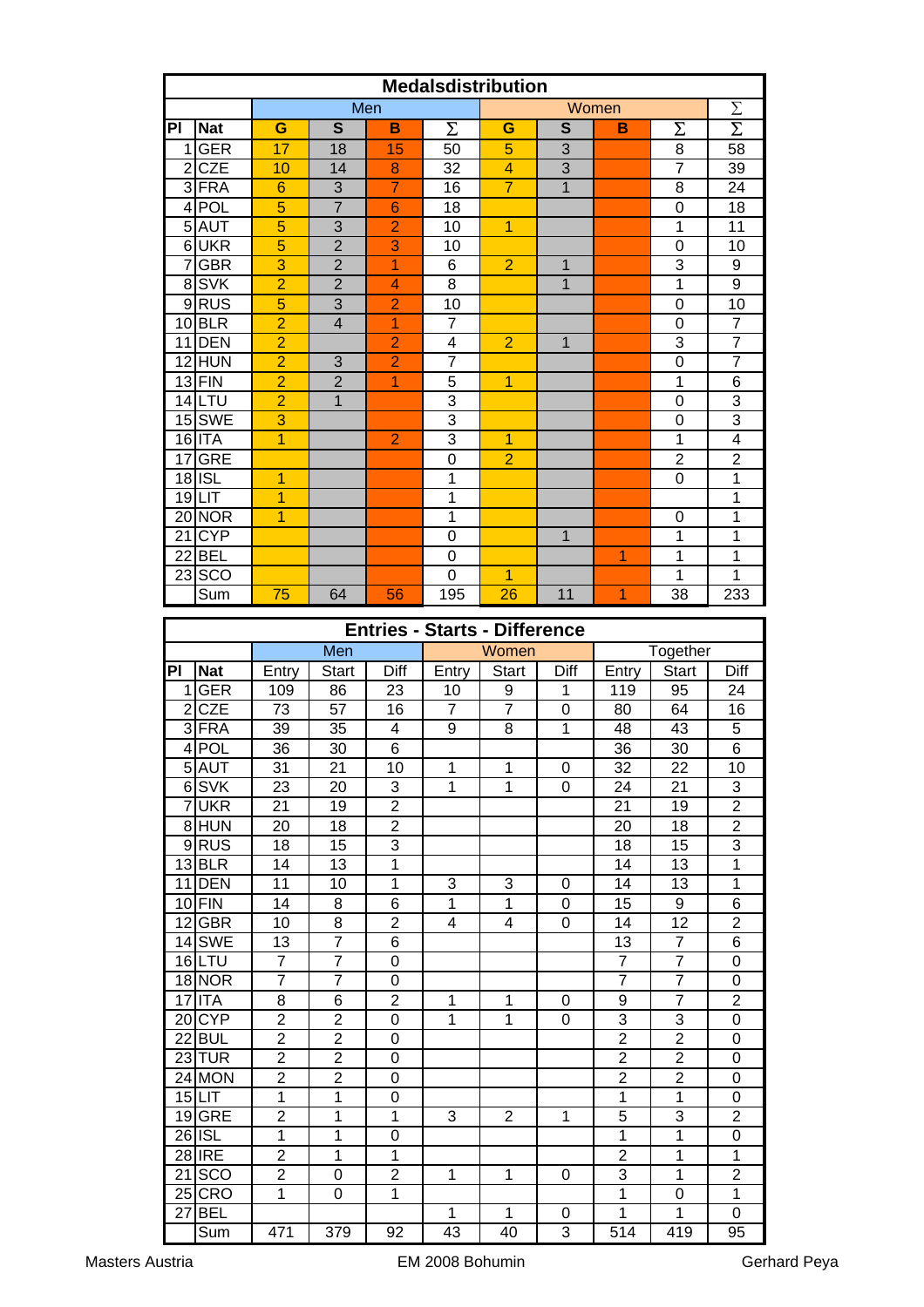|                | <b>Medalsdistribution</b> |                 |                         |                |                                      |                |                |                     |                     |                      |
|----------------|---------------------------|-----------------|-------------------------|----------------|--------------------------------------|----------------|----------------|---------------------|---------------------|----------------------|
|                |                           |                 |                         | Men            |                                      |                |                | Women               |                     | Σ                    |
| PI             | <b>Nat</b>                | G               | $\mathbf{s}$            | $\mathbf B$    | Σ                                    | G              | $\mathbf{s}$   | B                   | Σ                   | $\overline{\Sigma}$  |
| 11             | <b>GER</b>                | 17              | 18                      | 15             | 50                                   | 5              | 3              |                     | 8                   | 58                   |
|                | $2$ CZE                   | 10              | 14                      | 8              | $\overline{32}$                      | $\overline{4}$ | $\overline{3}$ |                     | $\overline{7}$      | $\overline{39}$      |
|                | 3 FRA                     | $\overline{6}$  | $\overline{3}$          | $\overline{7}$ | 16                                   | $\overline{7}$ | $\overline{1}$ |                     | 8                   | 24                   |
|                | 4 POL                     | $\overline{5}$  | $\overline{7}$          | $6\phantom{1}$ | 18                                   |                |                |                     | $\mathbf 0$         | 18                   |
|                | 5 AUT                     | $\overline{5}$  | $\overline{3}$          | $\overline{2}$ | 10                                   | $\overline{1}$ |                |                     | 1                   | 11                   |
|                | 6UKR                      | $\overline{5}$  | $\overline{2}$          | $\overline{3}$ | 10                                   |                |                |                     | $\overline{0}$      | 10                   |
|                | 7 GBR                     | 3               | $\overline{2}$          | 1              | 6                                    | $\overline{2}$ | 1              |                     | $\overline{3}$      | 9                    |
|                | 8 SVK                     | $\overline{2}$  | $\overline{2}$          | 4              | 8                                    |                | $\overline{1}$ |                     | $\mathbf{1}$        | 9                    |
|                | 9RUS                      | 5               | $\overline{3}$          | $\overline{2}$ | 10                                   |                |                |                     | 0                   | 10                   |
|                | $10$ BLR                  | $\overline{2}$  | $\overline{\mathbf{4}}$ | 1              | $\overline{7}$                       |                |                |                     | 0                   | $\overline{7}$       |
|                | 11 DEN                    | $\overline{2}$  |                         | $\overline{2}$ | $\overline{\mathbf{4}}$              | $\overline{2}$ | $\mathbf{1}$   |                     | 3                   | $\overline{7}$       |
|                | 12 HUN                    | $\overline{2}$  | 3                       | $\overline{2}$ | $\overline{7}$                       |                |                |                     | 0                   | 7                    |
|                | $13$ FIN                  | $\overline{2}$  | $\overline{2}$          | $\overline{1}$ | $\overline{5}$                       | $\overline{1}$ |                |                     | $\mathbf 1$         | 6                    |
|                | $14$ LTU                  | $\overline{2}$  | $\overline{1}$          |                | $\overline{3}$                       |                |                |                     | 0                   | 3                    |
|                | 15 SWE                    | $\overline{3}$  |                         |                | $\overline{3}$                       |                |                |                     | 0                   | 3                    |
|                | $16$ ITA                  | $\overline{1}$  |                         | $\overline{2}$ | $\overline{3}$                       | $\overline{1}$ |                |                     | $\mathbf 1$         | 4                    |
|                | 17 GRE                    |                 |                         |                | $\mathbf 0$                          | $\overline{2}$ |                |                     | $\overline{2}$      | $\overline{2}$       |
|                | $18$ ISL                  | $\overline{1}$  |                         |                | 1                                    |                |                |                     | 0                   | $\mathbf 1$          |
|                | $19$ LIT                  | $\overline{1}$  |                         |                | 1                                    |                |                |                     |                     | $\overline{1}$       |
|                | 20 NOR                    | $\overline{1}$  |                         |                | 1                                    |                |                |                     | 0                   | $\mathbf 1$          |
|                | $21$ CYP                  |                 |                         |                | $\boldsymbol{0}$                     |                | $\mathbf{1}$   |                     | $\mathbf 1$         | $\overline{1}$       |
|                | $22$ BEL                  |                 |                         |                | $\boldsymbol{0}$                     |                |                | $\overline{1}$      | 1                   | $\mathbf 1$          |
|                | 23 SCO                    |                 |                         |                | $\mathbf 0$                          | 1              |                |                     | 1                   | 1                    |
|                | Sum                       | 75              | 64                      | 56             | 195                                  | 26             | 11             | 1                   | 38                  | 233                  |
|                |                           |                 |                         |                | <b>Entries - Starts - Difference</b> |                |                |                     |                     |                      |
|                |                           |                 | <b>Men</b>              |                |                                      | Women          |                |                     | Together            |                      |
|                |                           |                 |                         |                |                                      |                |                |                     |                     |                      |
| PI             | <b>Nat</b>                | Entry           | <b>Start</b>            | Diff           | Entry                                | <b>Start</b>   | Diff           | Entry               | <b>Start</b>        | Diff                 |
| 1 <sup>1</sup> | <b>GER</b>                | 109             | 86                      | 23             | 10                                   | 9              | 1              | 119                 | 95                  | 24                   |
|                | $2$ CZE                   | 73              | $\overline{57}$         | 16             | $\overline{7}$                       | $\overline{7}$ | $\mathbf 0$    | 80                  | 64                  | 16                   |
|                | 3 FRA                     | 39              | $\overline{35}$         | 4              | 9                                    | 8              | 1              | 48                  | 43                  | $\overline{5}$       |
|                | 4 POL                     | 36              | $\overline{30}$         | $\overline{6}$ |                                      |                |                | 36                  | 30                  | $\overline{6}$       |
|                | 5 AUT                     | $\overline{31}$ | $\overline{21}$         | 10             | $\overline{1}$                       | 1              | $\pmb{0}$      | $\overline{32}$     | $\overline{22}$     | $\overline{10}$      |
|                | 6SVK                      | 23              | 20                      | 3              | 1                                    | 1              | 0              | 24                  | 21                  | 3                    |
|                | 7UKR                      | 21              | 19                      | $\overline{2}$ |                                      |                |                | 21                  | 19                  | $\overline{2}$       |
|                | 8 HUN                     | 20              | 18                      | $\overline{c}$ |                                      |                |                | 20                  | 18                  | $\overline{c}$       |
|                | 9RUS                      | 18              | 15                      | 3              |                                      |                |                | 18                  | 15                  | 3                    |
|                | $13$ BLR                  | 14              | 13                      | $\mathbf{1}$   |                                      |                |                | 14                  | 13                  | 1                    |
|                | 11 DEN                    | 11              | 10                      | $\mathbf{1}$   | 3                                    | 3              | 0              | 14                  | 13                  | $\overline{1}$       |
|                | $10$ FIN                  | 14              | 8                       | 6              | $\mathbf{1}$                         | $\mathbf 1$    | 0              | 15                  | 9                   | 6                    |
|                | $12$ GBR                  | 10              | 8                       | $\overline{2}$ | 4                                    | $\overline{4}$ | 0              | 14                  | 12                  | $\overline{2}$       |
|                | 14 SWE                    | 13              | $\overline{7}$          | 6              |                                      |                |                | 13                  | $\overline{7}$      | 6                    |
|                | 16LTU                     | $\overline{7}$  | $\overline{7}$          | 0              |                                      |                |                | 7                   | $\overline{7}$      | 0                    |
|                | 18 NOR                    | $\overline{7}$  | $\overline{7}$          | 0              |                                      |                |                | $\overline{7}$      | $\overline{7}$      | 0                    |
|                | $17$ ITA                  | 8               | 6                       | $\overline{2}$ | 1                                    | 1              | 0              | 9                   | $\overline{7}$      | $\overline{2}$       |
|                | 20CYP                     | $\overline{c}$  | $\overline{2}$          | 0              | 1                                    | $\mathbf{1}$   | 0              | $\overline{3}$      | 3                   | 0                    |
|                | $22$ <b>BUL</b>           | $\overline{c}$  | $\overline{c}$          | 0              |                                      |                |                | $\overline{c}$      | $\boldsymbol{2}$    | 0                    |
|                | $23$ TUR                  | $\overline{2}$  | $\overline{2}$          | 0              |                                      |                |                | $\overline{2}$      | $\overline{2}$      | 0                    |
|                | $24$ MON                  | $\overline{2}$  | $\overline{2}$          | 0              |                                      |                |                | $\overline{2}$      | $\overline{2}$      | 0                    |
|                | $15$ LIT                  | $\mathbf{1}$    | $\mathbf{1}$            | 0              |                                      |                |                | 1                   | $\mathbf{1}$        | 0                    |
|                | 19 GRE                    | $\overline{2}$  | $\mathbf{1}$            | 1              | 3                                    | $\overline{2}$ | 1              | 5                   | 3                   | $\overline{2}$       |
|                | 26 ISL                    | $\mathbf{1}$    | $\mathbf{1}$            | 0              |                                      |                |                | $\mathbf{1}$        | $\mathbf{1}$        | 0                    |
|                | 28 IRE                    | $\overline{2}$  | $\mathbf{1}$            | $\mathbf{1}$   |                                      |                |                | $\overline{2}$      | $\mathbf{1}$        | 1                    |
| 21             | <b>SCO</b>                | $\overline{2}$  | 0                       | $\overline{2}$ | $\mathbf{1}$                         | $\mathbf 1$    | 0              | 3                   | $\mathbf{1}$        | $\overline{2}$       |
|                | $25$ CRO                  | $\mathbf{1}$    | 0                       | $\mathbf{1}$   |                                      |                |                | $\mathbf{1}$        | 0                   | $\mathbf{1}$         |
|                | $27$ BEL<br>Sum           | 471             | 379                     | 92             | 1<br>43                              | 1<br>40        | 0<br>3         | $\mathbf{1}$<br>514 | $\mathbf{1}$<br>419 | 0<br>$\overline{95}$ |